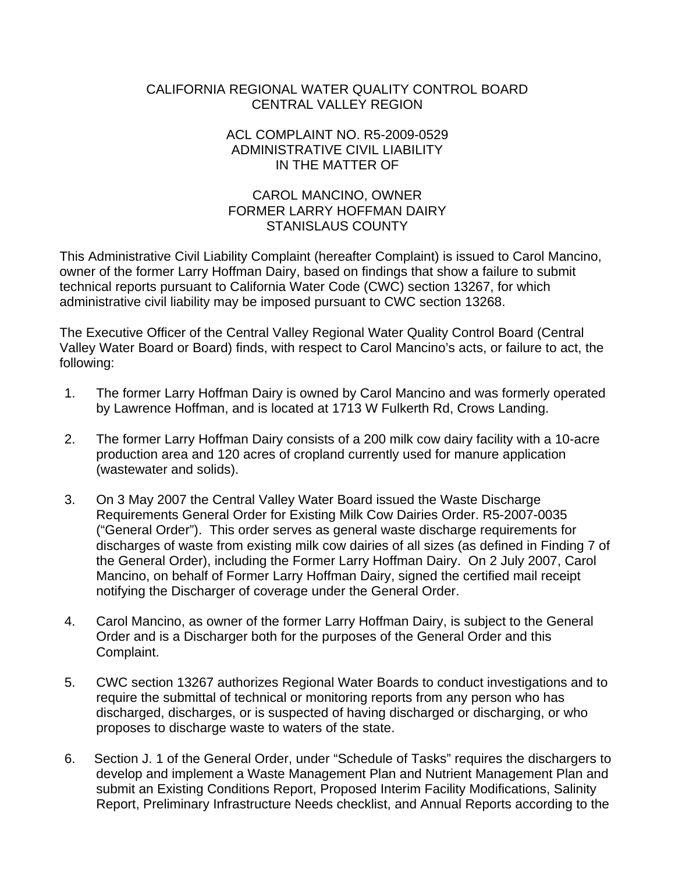## CALIFORNIA REGIONAL WATER QUALITY CONTROL BOARD CENTRAL VALLEY REGION

## ACL COMPLAINT NO. R5-2009-0529 ADMINISTRATIVE CIVIL LIABILITY IN THE MATTER OF

## CAROL MANCINO, OWNER FORMER LARRY HOFFMAN DAIRY STANISLAUS COUNTY

This Administrative Civil Liability Complaint (hereafter Complaint) is issued to Carol Mancino, owner of the former Larry Hoffman Dairy, based on findings that show a failure to submit technical reports pursuant to California Water Code (CWC) section 13267, for which administrative civil liability may be imposed pursuant to CWC section 13268.

The Executive Officer of the Central Valley Regional Water Quality Control Board (Central Valley Water Board or Board) finds, with respect to Carol Mancino's acts, or failure to act, the following:

- 1. The former Larry Hoffman Dairy is owned by Carol Mancino and was formerly operated by Lawrence Hoffman, and is located at 1713 W Fulkerth Rd, Crows Landing.
- 2. The former Larry Hoffman Dairy consists of a 200 milk cow dairy facility with a 10-acre production area and 120 acres of cropland currently used for manure application (wastewater and solids).
- 3. On 3 May 2007 the Central Valley Water Board issued the Waste Discharge Requirements General Order for Existing Milk Cow Dairies Order. R5-2007-0035 ("General Order"). This order serves as general waste discharge requirements for discharges of waste from existing milk cow dairies of all sizes (as defined in Finding 7 of the General Order), including the Former Larry Hoffman Dairy. On 2 July 2007, Carol Mancino, on behalf of Former Larry Hoffman Dairy, signed the certified mail receipt notifying the Discharger of coverage under the General Order.
- 4. Carol Mancino, as owner of the former Larry Hoffman Dairy, is subject to the General Order and is a Discharger both for the purposes of the General Order and this Complaint.
- 5. CWC section 13267 authorizes Regional Water Boards to conduct investigations and to require the submittal of technical or monitoring reports from any person who has discharged, discharges, or is suspected of having discharged or discharging, or who proposes to discharge waste to waters of the state.
- 6. Section J. 1 of the General Order, under "Schedule of Tasks" requires the dischargers to develop and implement a Waste Management Plan and Nutrient Management Plan and submit an Existing Conditions Report, Proposed Interim Facility Modifications, Salinity Report, Preliminary Infrastructure Needs checklist, and Annual Reports according to the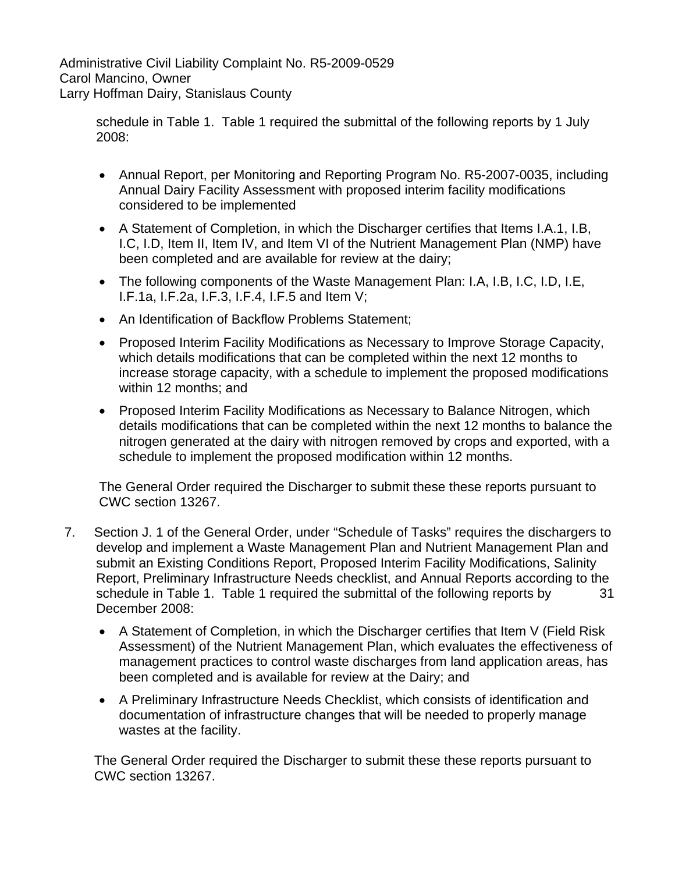> schedule in Table 1. Table 1 required the submittal of the following reports by 1 July 2008:

- Annual Report, per Monitoring and Reporting Program No. R5-2007-0035, including Annual Dairy Facility Assessment with proposed interim facility modifications considered to be implemented
- A Statement of Completion, in which the Discharger certifies that Items I.A.1, I.B, I.C, I.D, Item II, Item IV, and Item VI of the Nutrient Management Plan (NMP) have been completed and are available for review at the dairy;
- The following components of the Waste Management Plan: I.A, I.B, I.C, I.D, I.E, I.F.1a, I.F.2a, I.F.3, I.F.4, I.F.5 and Item V;
- An Identification of Backflow Problems Statement;
- Proposed Interim Facility Modifications as Necessary to Improve Storage Capacity, which details modifications that can be completed within the next 12 months to increase storage capacity, with a schedule to implement the proposed modifications within 12 months; and
- Proposed Interim Facility Modifications as Necessary to Balance Nitrogen, which details modifications that can be completed within the next 12 months to balance the nitrogen generated at the dairy with nitrogen removed by crops and exported, with a schedule to implement the proposed modification within 12 months.

The General Order required the Discharger to submit these these reports pursuant to CWC section 13267.

- 7. Section J. 1 of the General Order, under "Schedule of Tasks" requires the dischargers to develop and implement a Waste Management Plan and Nutrient Management Plan and submit an Existing Conditions Report, Proposed Interim Facility Modifications, Salinity Report, Preliminary Infrastructure Needs checklist, and Annual Reports according to the schedule in Table 1. Table 1 required the submittal of the following reports by 31 December 2008:
	- A Statement of Completion, in which the Discharger certifies that Item V (Field Risk Assessment) of the Nutrient Management Plan, which evaluates the effectiveness of management practices to control waste discharges from land application areas, has been completed and is available for review at the Dairy; and
	- A Preliminary Infrastructure Needs Checklist, which consists of identification and documentation of infrastructure changes that will be needed to properly manage wastes at the facility.

The General Order required the Discharger to submit these these reports pursuant to CWC section 13267.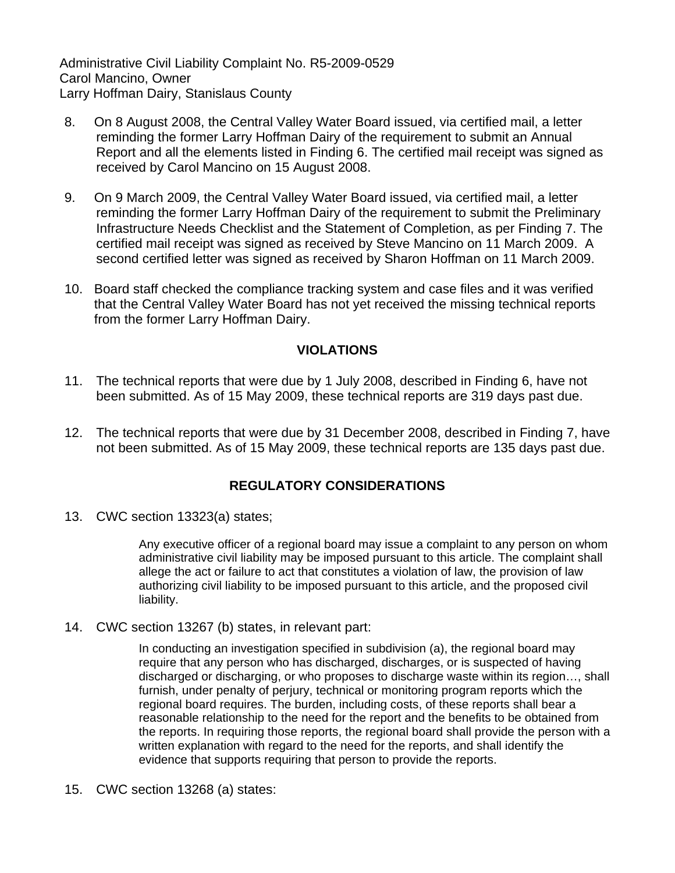- 8. On 8 August 2008, the Central Valley Water Board issued, via certified mail, a letter reminding the former Larry Hoffman Dairy of the requirement to submit an Annual Report and all the elements listed in Finding 6. The certified mail receipt was signed as received by Carol Mancino on 15 August 2008.
- 9. On 9 March 2009, the Central Valley Water Board issued, via certified mail, a letter reminding the former Larry Hoffman Dairy of the requirement to submit the Preliminary Infrastructure Needs Checklist and the Statement of Completion, as per Finding 7. The certified mail receipt was signed as received by Steve Mancino on 11 March 2009. A second certified letter was signed as received by Sharon Hoffman on 11 March 2009.
- 10. Board staff checked the compliance tracking system and case files and it was verified that the Central Valley Water Board has not yet received the missing technical reports from the former Larry Hoffman Dairy.

## **VIOLATIONS**

- 11. The technical reports that were due by 1 July 2008, described in Finding 6, have not been submitted. As of 15 May 2009, these technical reports are 319 days past due.
- 12. The technical reports that were due by 31 December 2008, described in Finding 7, have not been submitted. As of 15 May 2009, these technical reports are 135 days past due.

## **REGULATORY CONSIDERATIONS**

13. CWC section 13323(a) states;

Any executive officer of a regional board may issue a complaint to any person on whom administrative civil liability may be imposed pursuant to this article. The complaint shall allege the act or failure to act that constitutes a violation of law, the provision of law authorizing civil liability to be imposed pursuant to this article, and the proposed civil liability.

14. CWC section 13267 (b) states, in relevant part:

In conducting an investigation specified in subdivision (a), the regional board may require that any person who has discharged, discharges, or is suspected of having discharged or discharging, or who proposes to discharge waste within its region…, shall furnish, under penalty of perjury, technical or monitoring program reports which the regional board requires. The burden, including costs, of these reports shall bear a reasonable relationship to the need for the report and the benefits to be obtained from the reports. In requiring those reports, the regional board shall provide the person with a written explanation with regard to the need for the reports, and shall identify the evidence that supports requiring that person to provide the reports.

15. CWC section 13268 (a) states: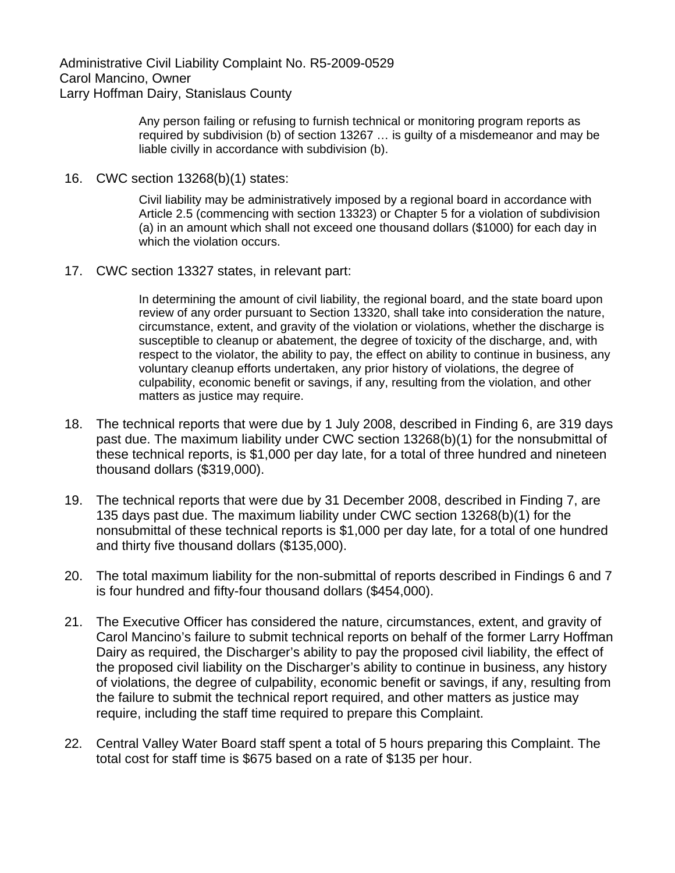> Any person failing or refusing to furnish technical or monitoring program reports as required by subdivision (b) of section 13267 … is guilty of a misdemeanor and may be liable civilly in accordance with subdivision (b).

16. CWC section 13268(b)(1) states:

Civil liability may be administratively imposed by a regional board in accordance with Article 2.5 (commencing with section 13323) or Chapter 5 for a violation of subdivision (a) in an amount which shall not exceed one thousand dollars (\$1000) for each day in which the violation occurs.

17. CWC section 13327 states, in relevant part:

In determining the amount of civil liability, the regional board, and the state board upon review of any order pursuant to Section 13320, shall take into consideration the nature, circumstance, extent, and gravity of the violation or violations, whether the discharge is susceptible to cleanup or abatement, the degree of toxicity of the discharge, and, with respect to the violator, the ability to pay, the effect on ability to continue in business, any voluntary cleanup efforts undertaken, any prior history of violations, the degree of culpability, economic benefit or savings, if any, resulting from the violation, and other matters as justice may require.

- 18. The technical reports that were due by 1 July 2008, described in Finding 6, are 319 days past due. The maximum liability under CWC section 13268(b)(1) for the nonsubmittal of these technical reports, is \$1,000 per day late, for a total of three hundred and nineteen thousand dollars (\$319,000).
- 19. The technical reports that were due by 31 December 2008, described in Finding 7, are 135 days past due. The maximum liability under CWC section 13268(b)(1) for the nonsubmittal of these technical reports is \$1,000 per day late, for a total of one hundred and thirty five thousand dollars (\$135,000).
- 20. The total maximum liability for the non-submittal of reports described in Findings 6 and 7 is four hundred and fifty-four thousand dollars (\$454,000).
- 21. The Executive Officer has considered the nature, circumstances, extent, and gravity of Carol Mancino's failure to submit technical reports on behalf of the former Larry Hoffman Dairy as required, the Discharger's ability to pay the proposed civil liability, the effect of the proposed civil liability on the Discharger's ability to continue in business, any history of violations, the degree of culpability, economic benefit or savings, if any, resulting from the failure to submit the technical report required, and other matters as justice may require, including the staff time required to prepare this Complaint.
- 22. Central Valley Water Board staff spent a total of 5 hours preparing this Complaint. The total cost for staff time is \$675 based on a rate of \$135 per hour.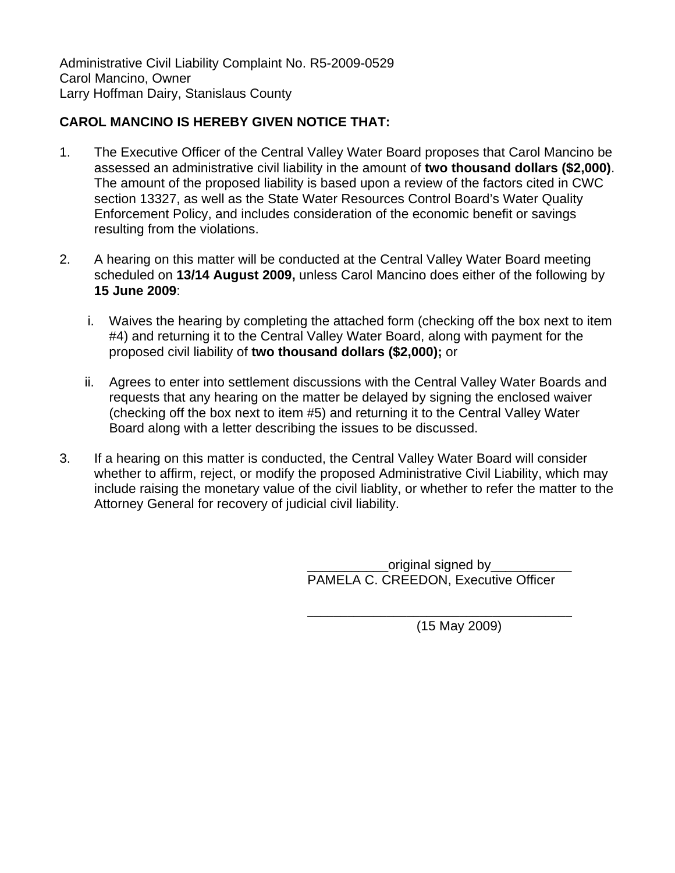# **CAROL MANCINO IS HEREBY GIVEN NOTICE THAT:**

- 1. The Executive Officer of the Central Valley Water Board proposes that Carol Mancino be assessed an administrative civil liability in the amount of **two thousand dollars (\$2,000)**. The amount of the proposed liability is based upon a review of the factors cited in CWC section 13327, as well as the State Water Resources Control Board's Water Quality Enforcement Policy, and includes consideration of the economic benefit or savings resulting from the violations.
- 2. A hearing on this matter will be conducted at the Central Valley Water Board meeting scheduled on **13/14 August 2009,** unless Carol Mancino does either of the following by **15 June 2009**:
	- i. Waives the hearing by completing the attached form (checking off the box next to item #4) and returning it to the Central Valley Water Board, along with payment for the proposed civil liability of **two thousand dollars (\$2,000);** or
	- ii. Agrees to enter into settlement discussions with the Central Valley Water Boards and requests that any hearing on the matter be delayed by signing the enclosed waiver (checking off the box next to item #5) and returning it to the Central Valley Water Board along with a letter describing the issues to be discussed.
- 3. If a hearing on this matter is conducted, the Central Valley Water Board will consider whether to affirm, reject, or modify the proposed Administrative Civil Liability, which may include raising the monetary value of the civil liablity, or whether to refer the matter to the Attorney General for recovery of judicial civil liability.

original signed by PAMELA C. CREEDON, Executive Officer

 $\overline{\phantom{a}}$  , which is a set of the set of the set of the set of the set of the set of the set of the set of the set of the set of the set of the set of the set of the set of the set of the set of the set of the set of th (15 May 2009)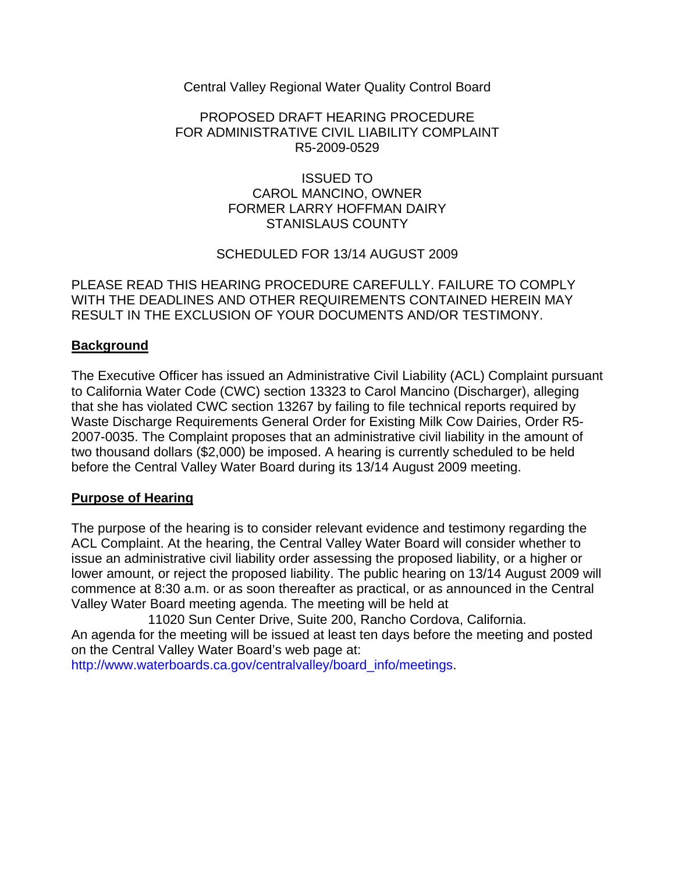Central Valley Regional Water Quality Control Board

## PROPOSED DRAFT HEARING PROCEDURE FOR ADMINISTRATIVE CIVIL LIABILITY COMPLAINT R5-2009-0529

## ISSUED TO CAROL MANCINO, OWNER FORMER LARRY HOFFMAN DAIRY STANISLAUS COUNTY

## SCHEDULED FOR 13/14 AUGUST 2009

PLEASE READ THIS HEARING PROCEDURE CAREFULLY. FAILURE TO COMPLY WITH THE DEADLINES AND OTHER REQUIREMENTS CONTAINED HEREIN MAY RESULT IN THE EXCLUSION OF YOUR DOCUMENTS AND/OR TESTIMONY.

## **Background**

The Executive Officer has issued an Administrative Civil Liability (ACL) Complaint pursuant to California Water Code (CWC) section 13323 to Carol Mancino (Discharger), alleging that she has violated CWC section 13267 by failing to file technical reports required by Waste Discharge Requirements General Order for Existing Milk Cow Dairies, Order R5- 2007-0035. The Complaint proposes that an administrative civil liability in the amount of two thousand dollars (\$2,000) be imposed. A hearing is currently scheduled to be held before the Central Valley Water Board during its 13/14 August 2009 meeting.

## **Purpose of Hearing**

The purpose of the hearing is to consider relevant evidence and testimony regarding the ACL Complaint. At the hearing, the Central Valley Water Board will consider whether to issue an administrative civil liability order assessing the proposed liability, or a higher or lower amount, or reject the proposed liability. The public hearing on 13/14 August 2009 will commence at 8:30 a.m. or as soon thereafter as practical, or as announced in the Central Valley Water Board meeting agenda. The meeting will be held at

11020 Sun Center Drive, Suite 200, Rancho Cordova, California. An agenda for the meeting will be issued at least ten days before the meeting and posted on the Central Valley Water Board's web page at:

http://www.waterboards.ca.gov/centralvalley/board\_info/meetings.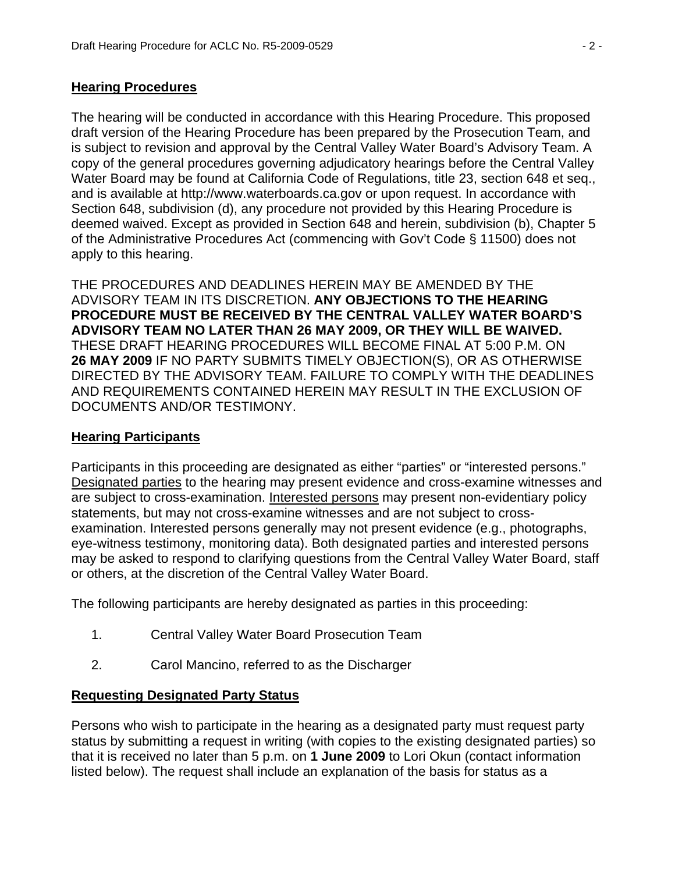# **Hearing Procedures**

The hearing will be conducted in accordance with this Hearing Procedure. This proposed draft version of the Hearing Procedure has been prepared by the Prosecution Team, and is subject to revision and approval by the Central Valley Water Board's Advisory Team. A copy of the general procedures governing adjudicatory hearings before the Central Valley Water Board may be found at California Code of Regulations, title 23, section 648 et seq., and is available at http://www.waterboards.ca.gov or upon request. In accordance with Section 648, subdivision (d), any procedure not provided by this Hearing Procedure is deemed waived. Except as provided in Section 648 and herein, subdivision (b), Chapter 5 of the Administrative Procedures Act (commencing with Gov't Code § 11500) does not apply to this hearing.

THE PROCEDURES AND DEADLINES HEREIN MAY BE AMENDED BY THE ADVISORY TEAM IN ITS DISCRETION. **ANY OBJECTIONS TO THE HEARING PROCEDURE MUST BE RECEIVED BY THE CENTRAL VALLEY WATER BOARD'S ADVISORY TEAM NO LATER THAN 26 MAY 2009, OR THEY WILL BE WAIVED.** THESE DRAFT HEARING PROCEDURES WILL BECOME FINAL AT 5:00 P.M. ON **26 MAY 2009** IF NO PARTY SUBMITS TIMELY OBJECTION(S), OR AS OTHERWISE DIRECTED BY THE ADVISORY TEAM. FAILURE TO COMPLY WITH THE DEADLINES AND REQUIREMENTS CONTAINED HEREIN MAY RESULT IN THE EXCLUSION OF DOCUMENTS AND/OR TESTIMONY.

# **Hearing Participants**

Participants in this proceeding are designated as either "parties" or "interested persons." Designated parties to the hearing may present evidence and cross-examine witnesses and are subject to cross-examination. Interested persons may present non-evidentiary policy statements, but may not cross-examine witnesses and are not subject to crossexamination. Interested persons generally may not present evidence (e.g., photographs, eye-witness testimony, monitoring data). Both designated parties and interested persons may be asked to respond to clarifying questions from the Central Valley Water Board, staff or others, at the discretion of the Central Valley Water Board.

The following participants are hereby designated as parties in this proceeding:

- 1. Central Valley Water Board Prosecution Team
- 2. Carol Mancino, referred to as the Discharger

# **Requesting Designated Party Status**

Persons who wish to participate in the hearing as a designated party must request party status by submitting a request in writing (with copies to the existing designated parties) so that it is received no later than 5 p.m. on **1 June 2009** to Lori Okun (contact information listed below). The request shall include an explanation of the basis for status as a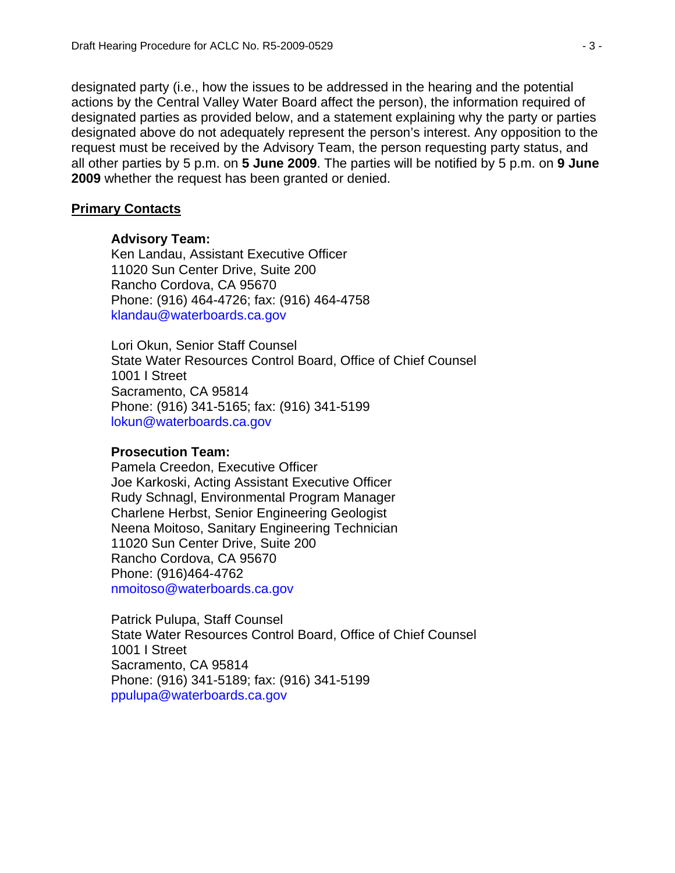designated party (i.e., how the issues to be addressed in the hearing and the potential actions by the Central Valley Water Board affect the person), the information required of designated parties as provided below, and a statement explaining why the party or parties designated above do not adequately represent the person's interest. Any opposition to the request must be received by the Advisory Team, the person requesting party status, and all other parties by 5 p.m. on **5 June 2009**. The parties will be notified by 5 p.m. on **9 June 2009** whether the request has been granted or denied.

#### **Primary Contacts**

#### **Advisory Team:**

Ken Landau, Assistant Executive Officer 11020 Sun Center Drive, Suite 200 Rancho Cordova, CA 95670 Phone: (916) 464-4726; fax: (916) 464-4758 klandau@waterboards.ca.gov

Lori Okun, Senior Staff Counsel State Water Resources Control Board, Office of Chief Counsel 1001 I Street Sacramento, CA 95814 Phone: (916) 341-5165; fax: (916) 341-5199 lokun@waterboards.ca.gov

#### **Prosecution Team:**

Pamela Creedon, Executive Officer Joe Karkoski, Acting Assistant Executive Officer Rudy Schnagl, Environmental Program Manager Charlene Herbst, Senior Engineering Geologist Neena Moitoso, Sanitary Engineering Technician 11020 Sun Center Drive, Suite 200 Rancho Cordova, CA 95670 Phone: (916)464-4762 nmoitoso@waterboards.ca.gov

Patrick Pulupa, Staff Counsel State Water Resources Control Board, Office of Chief Counsel 1001 I Street Sacramento, CA 95814 Phone: (916) 341-5189; fax: (916) 341-5199 ppulupa@waterboards.ca.gov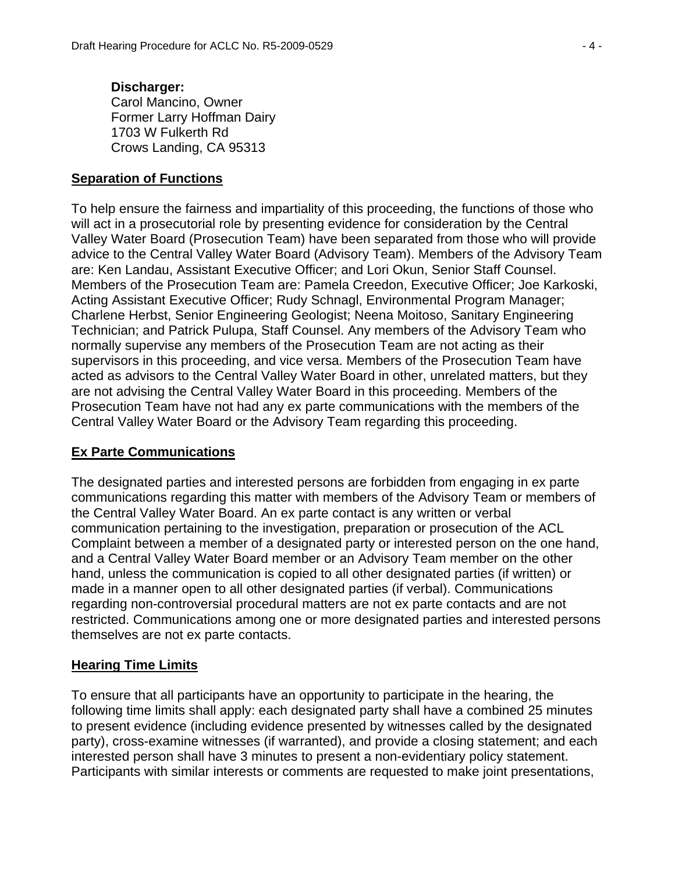#### **Discharger:**  Carol Mancino, Owner Former Larry Hoffman Dairy 1703 W Fulkerth Rd Crows Landing, CA 95313

## **Separation of Functions**

To help ensure the fairness and impartiality of this proceeding, the functions of those who will act in a prosecutorial role by presenting evidence for consideration by the Central Valley Water Board (Prosecution Team) have been separated from those who will provide advice to the Central Valley Water Board (Advisory Team). Members of the Advisory Team are: Ken Landau, Assistant Executive Officer; and Lori Okun, Senior Staff Counsel. Members of the Prosecution Team are: Pamela Creedon, Executive Officer; Joe Karkoski, Acting Assistant Executive Officer; Rudy Schnagl, Environmental Program Manager; Charlene Herbst, Senior Engineering Geologist; Neena Moitoso, Sanitary Engineering Technician; and Patrick Pulupa, Staff Counsel. Any members of the Advisory Team who normally supervise any members of the Prosecution Team are not acting as their supervisors in this proceeding, and vice versa. Members of the Prosecution Team have acted as advisors to the Central Valley Water Board in other, unrelated matters, but they are not advising the Central Valley Water Board in this proceeding. Members of the Prosecution Team have not had any ex parte communications with the members of the Central Valley Water Board or the Advisory Team regarding this proceeding.

# **Ex Parte Communications**

The designated parties and interested persons are forbidden from engaging in ex parte communications regarding this matter with members of the Advisory Team or members of the Central Valley Water Board. An ex parte contact is any written or verbal communication pertaining to the investigation, preparation or prosecution of the ACL Complaint between a member of a designated party or interested person on the one hand, and a Central Valley Water Board member or an Advisory Team member on the other hand, unless the communication is copied to all other designated parties (if written) or made in a manner open to all other designated parties (if verbal). Communications regarding non-controversial procedural matters are not ex parte contacts and are not restricted. Communications among one or more designated parties and interested persons themselves are not ex parte contacts.

## **Hearing Time Limits**

To ensure that all participants have an opportunity to participate in the hearing, the following time limits shall apply: each designated party shall have a combined 25 minutes to present evidence (including evidence presented by witnesses called by the designated party), cross-examine witnesses (if warranted), and provide a closing statement; and each interested person shall have 3 minutes to present a non-evidentiary policy statement. Participants with similar interests or comments are requested to make joint presentations,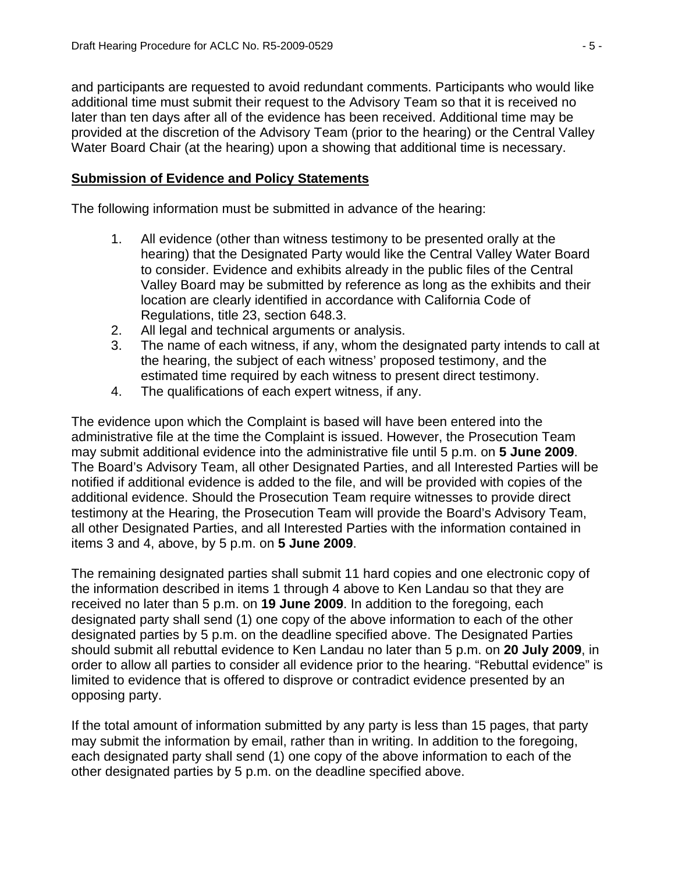and participants are requested to avoid redundant comments. Participants who would like additional time must submit their request to the Advisory Team so that it is received no later than ten days after all of the evidence has been received. Additional time may be provided at the discretion of the Advisory Team (prior to the hearing) or the Central Valley Water Board Chair (at the hearing) upon a showing that additional time is necessary.

# **Submission of Evidence and Policy Statements**

The following information must be submitted in advance of the hearing:

- 1. All evidence (other than witness testimony to be presented orally at the hearing) that the Designated Party would like the Central Valley Water Board to consider. Evidence and exhibits already in the public files of the Central Valley Board may be submitted by reference as long as the exhibits and their location are clearly identified in accordance with California Code of Regulations, title 23, section 648.3.
- 2. All legal and technical arguments or analysis.
- 3. The name of each witness, if any, whom the designated party intends to call at the hearing, the subject of each witness' proposed testimony, and the estimated time required by each witness to present direct testimony.
- 4. The qualifications of each expert witness, if any.

The evidence upon which the Complaint is based will have been entered into the administrative file at the time the Complaint is issued. However, the Prosecution Team may submit additional evidence into the administrative file until 5 p.m. on **5 June 2009**. The Board's Advisory Team, all other Designated Parties, and all Interested Parties will be notified if additional evidence is added to the file, and will be provided with copies of the additional evidence. Should the Prosecution Team require witnesses to provide direct testimony at the Hearing, the Prosecution Team will provide the Board's Advisory Team, all other Designated Parties, and all Interested Parties with the information contained in items 3 and 4, above, by 5 p.m. on **5 June 2009**.

The remaining designated parties shall submit 11 hard copies and one electronic copy of the information described in items 1 through 4 above to Ken Landau so that they are received no later than 5 p.m. on **19 June 2009**. In addition to the foregoing, each designated party shall send (1) one copy of the above information to each of the other designated parties by 5 p.m. on the deadline specified above. The Designated Parties should submit all rebuttal evidence to Ken Landau no later than 5 p.m. on **20 July 2009**, in order to allow all parties to consider all evidence prior to the hearing. "Rebuttal evidence" is limited to evidence that is offered to disprove or contradict evidence presented by an opposing party.

If the total amount of information submitted by any party is less than 15 pages, that party may submit the information by email, rather than in writing. In addition to the foregoing, each designated party shall send (1) one copy of the above information to each of the other designated parties by 5 p.m. on the deadline specified above.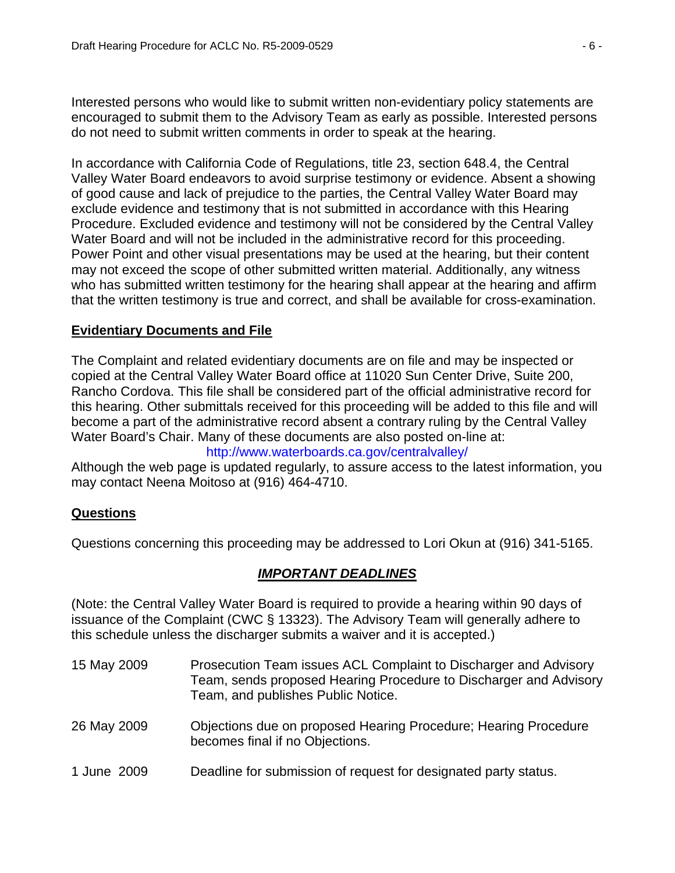Interested persons who would like to submit written non-evidentiary policy statements are encouraged to submit them to the Advisory Team as early as possible. Interested persons do not need to submit written comments in order to speak at the hearing.

In accordance with California Code of Regulations, title 23, section 648.4, the Central Valley Water Board endeavors to avoid surprise testimony or evidence. Absent a showing of good cause and lack of prejudice to the parties, the Central Valley Water Board may exclude evidence and testimony that is not submitted in accordance with this Hearing Procedure. Excluded evidence and testimony will not be considered by the Central Valley Water Board and will not be included in the administrative record for this proceeding. Power Point and other visual presentations may be used at the hearing, but their content may not exceed the scope of other submitted written material. Additionally, any witness who has submitted written testimony for the hearing shall appear at the hearing and affirm that the written testimony is true and correct, and shall be available for cross-examination.

# **Evidentiary Documents and File**

The Complaint and related evidentiary documents are on file and may be inspected or copied at the Central Valley Water Board office at 11020 Sun Center Drive, Suite 200, Rancho Cordova. This file shall be considered part of the official administrative record for this hearing. Other submittals received for this proceeding will be added to this file and will become a part of the administrative record absent a contrary ruling by the Central Valley Water Board's Chair. Many of these documents are also posted on-line at:

## http://www.waterboards.ca.gov/centralvalley/

Although the web page is updated regularly, to assure access to the latest information, you may contact Neena Moitoso at (916) 464-4710.

# **Questions**

Questions concerning this proceeding may be addressed to Lori Okun at (916) 341-5165.

# *IMPORTANT DEADLINES*

(Note: the Central Valley Water Board is required to provide a hearing within 90 days of issuance of the Complaint (CWC § 13323). The Advisory Team will generally adhere to this schedule unless the discharger submits a waiver and it is accepted.)

- 15 May 2009 Prosecution Team issues ACL Complaint to Discharger and Advisory Team, sends proposed Hearing Procedure to Discharger and Advisory Team, and publishes Public Notice.
- 26 May 2009 Objections due on proposed Hearing Procedure; Hearing Procedure becomes final if no Objections.
- 1 June 2009 Deadline for submission of request for designated party status.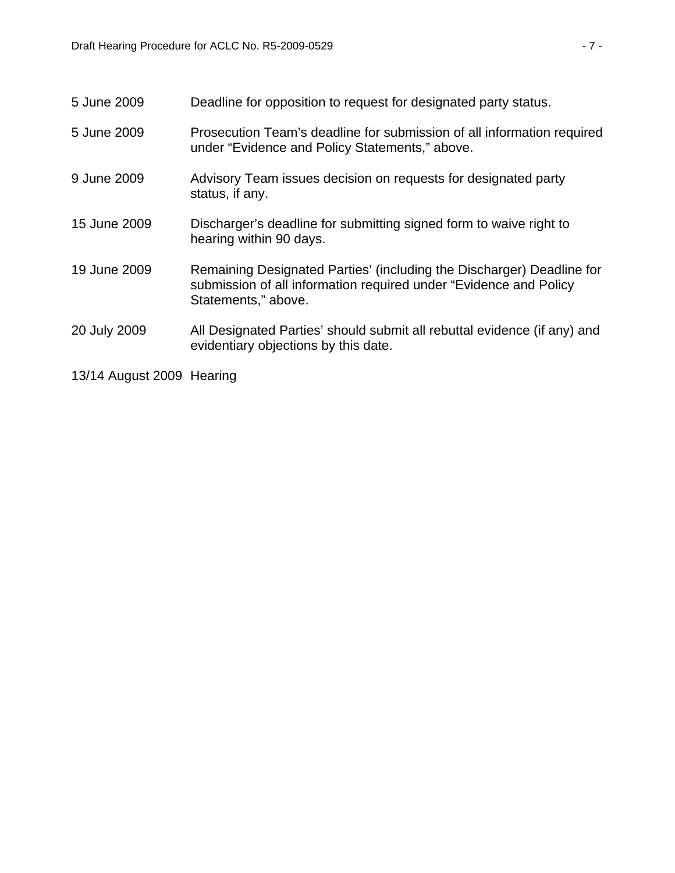| 5 June 2009  | Deadline for opposition to request for designated party status.                                                                                                   |
|--------------|-------------------------------------------------------------------------------------------------------------------------------------------------------------------|
| 5 June 2009  | Prosecution Team's deadline for submission of all information required<br>under "Evidence and Policy Statements," above.                                          |
| 9 June 2009  | Advisory Team issues decision on requests for designated party<br>status, if any.                                                                                 |
| 15 June 2009 | Discharger's deadline for submitting signed form to waive right to<br>hearing within 90 days.                                                                     |
| 19 June 2009 | Remaining Designated Parties' (including the Discharger) Deadline for<br>submission of all information required under "Evidence and Policy<br>Statements," above. |
| 20 July 2009 | All Designated Parties' should submit all rebuttal evidence (if any) and<br>evidentiary objections by this date.                                                  |
|              |                                                                                                                                                                   |

13/14 August 2009 Hearing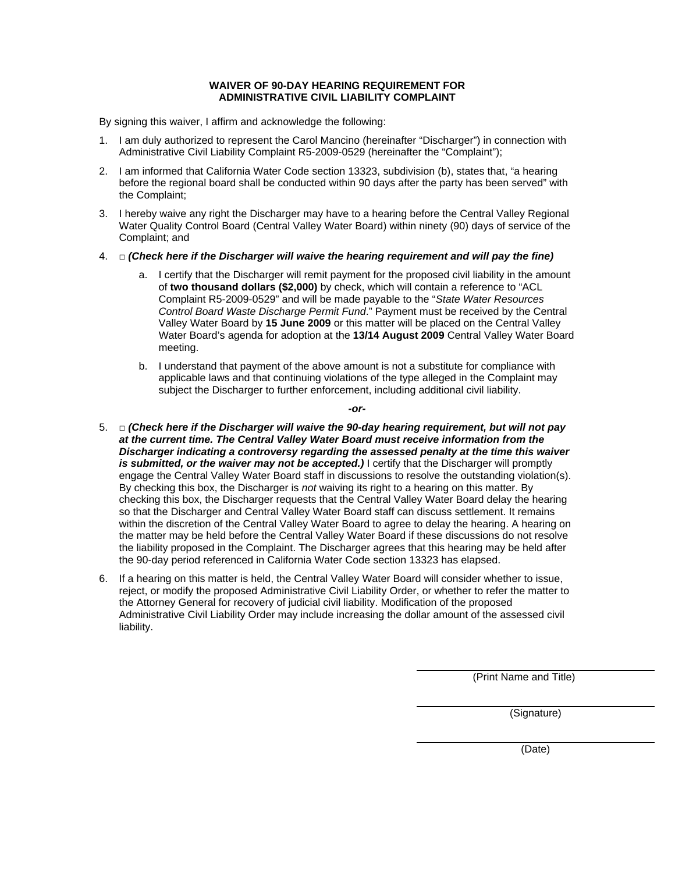#### **WAIVER OF 90-DAY HEARING REQUIREMENT FOR ADMINISTRATIVE CIVIL LIABILITY COMPLAINT**

By signing this waiver, I affirm and acknowledge the following:

- 1. I am duly authorized to represent the Carol Mancino (hereinafter "Discharger") in connection with Administrative Civil Liability Complaint R5-2009-0529 (hereinafter the "Complaint");
- 2. I am informed that California Water Code section 13323, subdivision (b), states that, "a hearing before the regional board shall be conducted within 90 days after the party has been served" with the Complaint;
- 3. I hereby waive any right the Discharger may have to a hearing before the Central Valley Regional Water Quality Control Board (Central Valley Water Board) within ninety (90) days of service of the Complaint; and
- 4. □ *(Check here if the Discharger will waive the hearing requirement and will pay the fine)* 
	- a. I certify that the Discharger will remit payment for the proposed civil liability in the amount of **two thousand dollars (\$2,000)** by check, which will contain a reference to "ACL Complaint R5-2009-0529" and will be made payable to the "*State Water Resources Control Board Waste Discharge Permit Fund*." Payment must be received by the Central Valley Water Board by **15 June 2009** or this matter will be placed on the Central Valley Water Board's agenda for adoption at the **13/14 August 2009** Central Valley Water Board meeting.
	- b. I understand that payment of the above amount is not a substitute for compliance with applicable laws and that continuing violations of the type alleged in the Complaint may subject the Discharger to further enforcement, including additional civil liability.

*-or-*

- 5. □ *(Check here if the Discharger will waive the 90-day hearing requirement, but will not pay at the current time. The Central Valley Water Board must receive information from the Discharger indicating a controversy regarding the assessed penalty at the time this waiver*  is submitted, or the waiver may not be accepted.) I certify that the Discharger will promptly engage the Central Valley Water Board staff in discussions to resolve the outstanding violation(s). By checking this box, the Discharger is *not* waiving its right to a hearing on this matter. By checking this box, the Discharger requests that the Central Valley Water Board delay the hearing so that the Discharger and Central Valley Water Board staff can discuss settlement. It remains within the discretion of the Central Valley Water Board to agree to delay the hearing. A hearing on the matter may be held before the Central Valley Water Board if these discussions do not resolve the liability proposed in the Complaint. The Discharger agrees that this hearing may be held after the 90-day period referenced in California Water Code section 13323 has elapsed.
- 6. If a hearing on this matter is held, the Central Valley Water Board will consider whether to issue, reject, or modify the proposed Administrative Civil Liability Order, or whether to refer the matter to the Attorney General for recovery of judicial civil liability. Modification of the proposed Administrative Civil Liability Order may include increasing the dollar amount of the assessed civil liability.

(Print Name and Title)

(Signature)

(Date)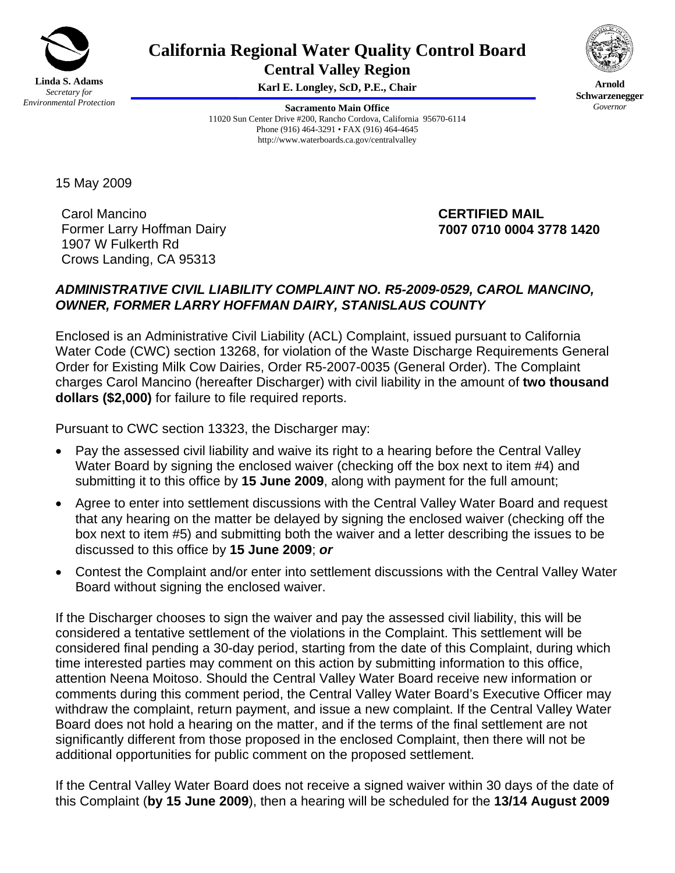

# **California Regional Water Quality Control Board**

**Central Valley Region Karl E. Longley, ScD, P.E., Chair**

**Sacramento Main Office** 11020 Sun Center Drive #200, Rancho Cordova, California 95670-6114 Phone (916) 464-3291 • FAX (916) 464-4645 http://www.waterboards.ca.gov/centralvalley



**Arnold Schwarzenegger** *Governor* 

15 May 2009

Carol Mancino Former Larry Hoffman Dairy 1907 W Fulkerth Rd Crows Landing, CA 95313

## **CERTIFIED MAIL 7007 0710 0004 3778 1420**

# *ADMINISTRATIVE CIVIL LIABILITY COMPLAINT NO. R5-2009-0529, CAROL MANCINO, OWNER, FORMER LARRY HOFFMAN DAIRY, STANISLAUS COUNTY*

Enclosed is an Administrative Civil Liability (ACL) Complaint, issued pursuant to California Water Code (CWC) section 13268, for violation of the Waste Discharge Requirements General Order for Existing Milk Cow Dairies, Order R5-2007-0035 (General Order). The Complaint charges Carol Mancino (hereafter Discharger) with civil liability in the amount of **two thousand dollars (\$2,000)** for failure to file required reports.

Pursuant to CWC section 13323, the Discharger may:

- Pay the assessed civil liability and waive its right to a hearing before the Central Valley Water Board by signing the enclosed waiver (checking off the box next to item #4) and submitting it to this office by **15 June 2009**, along with payment for the full amount;
- Agree to enter into settlement discussions with the Central Valley Water Board and request that any hearing on the matter be delayed by signing the enclosed waiver (checking off the box next to item #5) and submitting both the waiver and a letter describing the issues to be discussed to this office by **15 June 2009**; *or*
- Contest the Complaint and/or enter into settlement discussions with the Central Valley Water Board without signing the enclosed waiver.

If the Discharger chooses to sign the waiver and pay the assessed civil liability, this will be considered a tentative settlement of the violations in the Complaint. This settlement will be considered final pending a 30-day period, starting from the date of this Complaint, during which time interested parties may comment on this action by submitting information to this office, attention Neena Moitoso. Should the Central Valley Water Board receive new information or comments during this comment period, the Central Valley Water Board's Executive Officer may withdraw the complaint, return payment, and issue a new complaint. If the Central Valley Water Board does not hold a hearing on the matter, and if the terms of the final settlement are not significantly different from those proposed in the enclosed Complaint, then there will not be additional opportunities for public comment on the proposed settlement.

If the Central Valley Water Board does not receive a signed waiver within 30 days of the date of this Complaint (**by 15 June 2009**), then a hearing will be scheduled for the **13/14 August 2009**